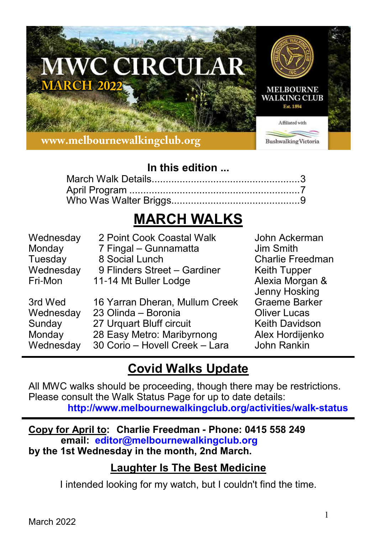

## **In this edition ...**

# **MARCH WALKS**

| Wednesday                                             | 2 Point Cook Coastal Walk                                                                                                                         | John Ackerman                                                                                                           |
|-------------------------------------------------------|---------------------------------------------------------------------------------------------------------------------------------------------------|-------------------------------------------------------------------------------------------------------------------------|
| Monday                                                | 7 Fingal - Gunnamatta                                                                                                                             | Jim Smith                                                                                                               |
| Tuesday                                               | 8 Social Lunch                                                                                                                                    | <b>Charlie Freedman</b>                                                                                                 |
| Wednesday                                             | 9 Flinders Street - Gardiner                                                                                                                      | <b>Keith Tupper</b>                                                                                                     |
| Fri-Mon                                               | 11-14 Mt Buller Lodge                                                                                                                             | Alexia Morgan &                                                                                                         |
| 3rd Wed<br>Wednesday<br>Sunday<br>Monday<br>Wednesday | 16 Yarran Dheran, Mullum Creek<br>23 Olinda - Boronia<br>27 Urquart Bluff circuit<br>28 Easy Metro: Maribyrnong<br>30 Corio - Hovell Creek - Lara | Jenny Hosking<br><b>Graeme Barker</b><br><b>Oliver Lucas</b><br><b>Keith Davidson</b><br>Alex Hordijenko<br>John Rankin |

## **Covid Walks Update**

All MWC walks should be proceeding, though there may be restrictions. Please consult the Walk Status Page for up to date details: **http://www.melbournewalkingclub.org/activities/walk-status**

**Copy for April to: Charlie Freedman - Phone: 0415 558 249 email: editor@melbournewalkingclub.org by the 1st Wednesday in the month, 2nd March.**

## **Laughter Is The Best Medicine**

I intended looking for my watch, but I couldn't find the time.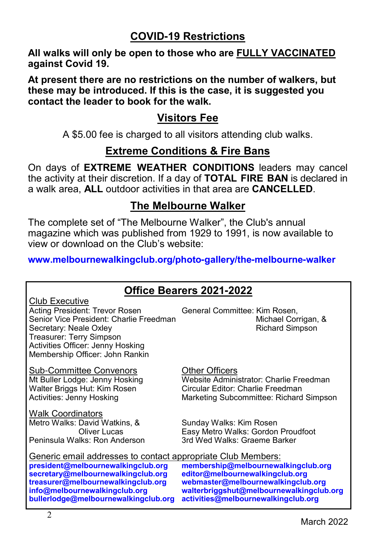## **COVID-19 Restrictions**

**All walks will only be open to those who are FULLY VACCINATED against Covid 19.**

**At present there are no restrictions on the number of walkers, but these may be introduced. If this is the case, it is suggested you contact the leader to book for the walk.**

#### **Visitors Fee**

A \$5.00 fee is charged to all visitors attending club walks.

## **Extreme Conditions & Fire Bans**

On days of **EXTREME WEATHER CONDITIONS** leaders may cancel the activity at their discretion. If a day of **TOTAL FIRE BAN** is declared in a walk area, **ALL** outdoor activities in that area are **CANCELLED**.

## **The Melbourne Walker**

The complete set of "The Melbourne Walker", the Club's annual magazine which was published from 1929 to 1991, is now available to view or download on the Club's website:

**www.melbournewalkingclub.org/photo-gallery/the-melbourne-walker**

## **Office Bearers 2021-2022**

| Club Executive                          |
|-----------------------------------------|
| Acting President: Trevor Rosen          |
| Senior Vice President: Charlie Freedmar |
| Secretary: Neale Oxley                  |
| Treasurer: Terry Simpson                |
| Activities Officer: Jenny Hosking       |
| Membership Officer: John Rankin         |

Sub-Committee Convenors 6 Example Other Officers<br>
Mt Buller Lodge: Jenny Hosking Website Adminis

Walk Coordinators Metro Walks: David Watkins, & Sunday Walks: Kim Rosen Peninsula Walks: Ron Anderson

General Committee: Kim Rosen, nichael Corrigan, & Richard Simpson

Website Administrator: Charlie Freedman Walter Briggs Hut: Kim Rosen Circular Editor: Charlie Freedman<br>Activities: Jenny Hosking Charles Marketing Subcommittee: Richard Marketing Subcommittee: Richard Simpson

Easy Metro Walks: Gordon Proudfoot<br>3rd Wed Walks: Graeme Barker

Generic email addresses to contact appropriate Club Members:<br>president@melbournewalkingclub.org membership@melbournewa **president@melbournewalkingclub.org membership@melbournewalkingclub.org secretary@melbournewalkingclub.org**<br>treasurer@melbournewalkingclub.org **treasurer@melbournewalkingclub.org webmaster@melbournewalkingclub.org info@melbournewalkingclub.org walterbriggshut@melbournewalkingclub.org**

**bullerlodge@melbournewalkingclub.org activities@melbournewalkingclub.org**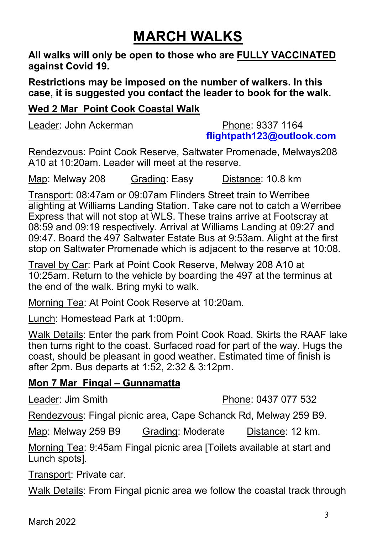# **MARCH WALKS**

**All walks will only be open to those who are FULLY VACCINATED against Covid 19.**

**Restrictions may be imposed on the number of walkers. In this case, it is suggested you contact the leader to book for the walk.**

#### **Wed 2 Mar Point Cook Coastal Walk**

Leader: John Ackerman **Phone: 9337 1164** 

**flightpath123@outlook.com**

Rendezvous: Point Cook Reserve, Saltwater Promenade, Melways208 A10 at 10:20am. Leader will meet at the reserve.

Map: Melway 208 Grading: Easy Distance: 10.8 km

Transport: 08:47am or 09:07am Flinders Street train to Werribee alighting at Williams Landing Station. Take care not to catch a Werribee Express that will not stop at WLS. These trains arrive at Footscray at 08:59 and 09:19 respectively. Arrival at Williams Landing at 09:27 and 09:47. Board the 497 Saltwater Estate Bus at 9:53am. Alight at the first stop on Saltwater Promenade which is adjacent to the reserve at 10:08.

Travel by Car: Park at Point Cook Reserve, Melway 208 A10 at 10:25am. Return to the vehicle by boarding the 497 at the terminus at the end of the walk. Bring myki to walk.

Morning Tea: At Point Cook Reserve at 10:20am.

Lunch: Homestead Park at 1:00pm.

Walk Details: Enter the park from Point Cook Road. Skirts the RAAF lake then turns right to the coast. Surfaced road for part of the way. Hugs the coast, should be pleasant in good weather. Estimated time of finish is after 2pm. Bus departs at 1:52, 2:32 & 3:12pm.

#### **Mon 7 Mar Fingal – Gunnamatta**

Leader: Jim Smith **Phone: 0437 077 532** 

Rendezvous: Fingal picnic area, Cape Schanck Rd, Melway 259 B9.

Map: Melway 259 B9 Grading: Moderate Distance: 12 km.

Morning Tea: 9:45am Fingal picnic area [Toilets available at start and Lunch spots].

Transport: Private car.

Walk Details: From Fingal picnic area we follow the coastal track through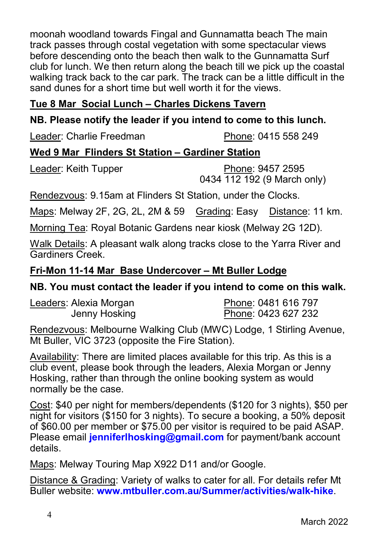moonah woodland towards Fingal and Gunnamatta beach The main track passes through costal vegetation with some spectacular views before descending onto the beach then walk to the Gunnamatta Surf club for lunch. We then return along the beach till we pick up the coastal walking track back to the car park. The track can be a little difficult in the sand dunes for a short time but well worth it for the views.

#### **Tue 8 Mar Social Lunch – Charles Dickens Tavern**

#### **NB. Please notify the leader if you intend to come to this lunch.**

Leader: Charlie Freedman Phone: 0415 558 249

#### **Wed 9 Mar Flinders St Station – Gardiner Station**

Leader: Keith Tupper Phone: 9457 2595 0434 112 192 (9 March only)

Rendezvous: 9.15am at Flinders St Station, under the Clocks.

Maps: Melway 2F, 2G, 2L, 2M & 59 Grading: Easy Distance: 11 km.

Morning Tea: Royal Botanic Gardens near kiosk (Melway 2G 12D).

Walk Details: A pleasant walk along tracks close to the Yarra River and Gardiners Creek.

#### **Fri-Mon 11-14 Mar Base Undercover – Mt Buller Lodge**

#### **NB. You must contact the leader if you intend to come on this walk.**

Leaders: Alexia Morgan Phone: 0481 616 797

Jenny Hosking **Phone: 0423 627 232** 

Rendezvous: Melbourne Walking Club (MWC) Lodge, 1 Stirling Avenue, Mt Buller, VIC 3723 (opposite the Fire Station).

Availability: There are limited places available for this trip. As this is a club event, please book through the leaders, Alexia Morgan or Jenny Hosking, rather than through the online booking system as would normally be the case.

Cost: \$40 per night for members/dependents (\$120 for 3 nights), \$50 per night for visitors (\$150 for 3 nights). To secure a booking, a 50% deposit of \$60.00 per member or \$75.00 per visitor is required to be paid ASAP. Please email **jenniferlhosking@gmail.com** for payment/bank account details.

Maps: Melway Touring Map X922 D11 and/or Google.

Distance & Grading: Variety of walks to cater for all. For details refer Mt Buller website: **www.mtbuller.com.au/Summer/activities/walk-hike**.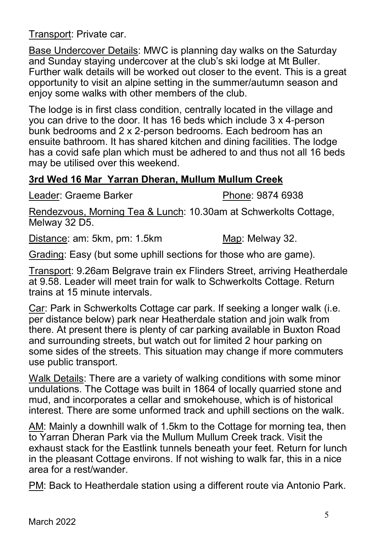Transport: Private car.

Base Undercover Details: MWC is planning day walks on the Saturday and Sunday staying undercover at the club's ski lodge at Mt Buller. Further walk details will be worked out closer to the event. This is a great opportunity to visit an alpine setting in the summer/autumn season and enjoy some walks with other members of the club.

The lodge is in first class condition, centrally located in the village and you can drive to the door. It has 16 beds which include 3 x 4-person bunk bedrooms and 2 x 2-person bedrooms. Each bedroom has an ensuite bathroom. It has shared kitchen and dining facilities. The lodge has a covid safe plan which must be adhered to and thus not all 16 beds may be utilised over this weekend.

#### **3rd Wed 16 Mar Yarran Dheran, Mullum Mullum Creek**

Leader: Graeme Barker **Phone: 9874 6938** 

Rendezvous, Morning Tea & Lunch: 10.30am at Schwerkolts Cottage, Melway 32 D5.

Distance: am: 5km, pm: 1.5km Map: Map: Melway 32.

Grading: Easy (but some uphill sections for those who are game).

Transport: 9.26am Belgrave train ex Flinders Street, arriving Heatherdale at 9.58. Leader will meet train for walk to Schwerkolts Cottage. Return trains at 15 minute intervals.

Car: Park in Schwerkolts Cottage car park. If seeking a longer walk (i.e. per distance below) park near Heatherdale station and join walk from there. At present there is plenty of car parking available in Buxton Road and surrounding streets, but watch out for limited 2 hour parking on some sides of the streets. This situation may change if more commuters use public transport.

Walk Details: There are a variety of walking conditions with some minor undulations. The Cottage was built in 1864 of locally quarried stone and mud, and incorporates a cellar and smokehouse, which is of historical interest. There are some unformed track and uphill sections on the walk.

AM: Mainly a downhill walk of 1.5km to the Cottage for morning tea, then to Yarran Dheran Park via the Mullum Mullum Creek track. Visit the exhaust stack for the Eastlink tunnels beneath your feet. Return for lunch in the pleasant Cottage environs. If not wishing to walk far, this in a nice area for a rest/wander.

PM: Back to Heatherdale station using a different route via Antonio Park.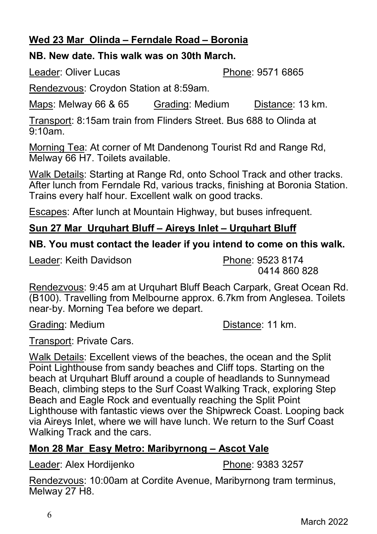#### **Wed 23 Mar Olinda – Ferndale Road – Boronia**

#### **NB. New date. This walk was on 30th March.**

Leader: Oliver Lucas **Phone: 9571 6865** 

Rendezvous: Croydon Station at 8:59am.

Maps: Melway 66 & 65 Grading: Medium Distance: 13 km.

Transport: 8:15am train from Flinders Street. Bus 688 to Olinda at  $9.10$ am

Morning Tea: At corner of Mt Dandenong Tourist Rd and Range Rd, Melway 66 H7. Toilets available.

Walk Details: Starting at Range Rd, onto School Track and other tracks. After lunch from Ferndale Rd, various tracks, finishing at Boronia Station. Trains every half hour. Excellent walk on good tracks.

Escapes: After lunch at Mountain Highway, but buses infrequent.

#### **Sun 27 Mar Urquhart Bluff – Aireys Inlet – Urquhart Bluff**

#### **NB. You must contact the leader if you intend to come on this walk.**

Leader: Keith Davidson **Phone: 9523 8174** 

0414 860 828

Rendezvous: 9:45 am at Urquhart Bluff Beach Carpark, Great Ocean Rd. (B100). Travelling from Melbourne approx. 6.7km from Anglesea. Toilets near-by. Morning Tea before we depart.

Grading: Medium **Distance:** 11 km.

Transport: Private Cars.

Walk Details: Excellent views of the beaches, the ocean and the Split Point Lighthouse from sandy beaches and Cliff tops. Starting on the beach at Urquhart Bluff around a couple of headlands to Sunnymead Beach, climbing steps to the Surf Coast Walking Track, exploring Step Beach and Eagle Rock and eventually reaching the Split Point Lighthouse with fantastic views over the Shipwreck Coast. Looping back via Aireys Inlet, where we will have lunch. We return to the Surf Coast Walking Track and the cars.

#### **Mon 28 Mar Easy Metro: Maribyrnong – Ascot Vale**

Leader: Alex Hordijenko Phone: 9383 3257

Rendezvous: 10:00am at Cordite Avenue, Maribyrnong tram terminus, Melway 27 H8.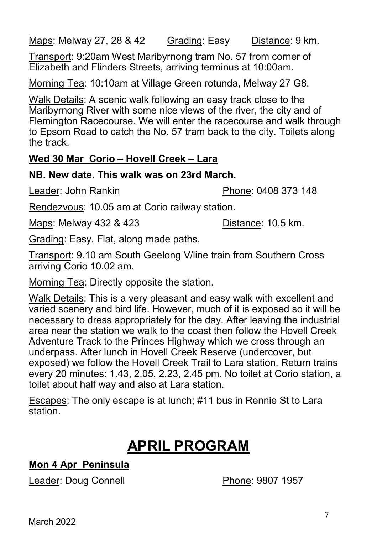Maps: Melway 27, 28 & 42 Grading: Easy Distance: 9 km.

Transport: 9:20am West Maribyrnong tram No. 57 from corner of Elizabeth and Flinders Streets, arriving terminus at 10:00am.

Morning Tea: 10:10am at Village Green rotunda, Melway 27 G8.

Walk Details: A scenic walk following an easy track close to the Maribyrnong River with some nice views of the river, the city and of Flemington Racecourse. We will enter the racecourse and walk through to Epsom Road to catch the No. 57 tram back to the city. Toilets along the track.

#### **Wed 30 Mar Corio – Hovell Creek – Lara**

#### **NB. New date. This walk was on 23rd March.**

Leader: John Rankin Phone: 0408 373 148

Rendezvous: 10.05 am at Corio railway station.

Maps: Melway 432 & 423 Distance: 10.5 km.

Grading: Easy. Flat, along made paths.

Transport: 9.10 am South Geelong V/line train from Southern Cross arriving Corio 10.02 am.

Morning Tea: Directly opposite the station.

Walk Details: This is a very pleasant and easy walk with excellent and varied scenery and bird life. However, much of it is exposed so it will be necessary to dress appropriately for the day. After leaving the industrial area near the station we walk to the coast then follow the Hovell Creek Adventure Track to the Princes Highway which we cross through an underpass. After lunch in Hovell Creek Reserve (undercover, but exposed) we follow the Hovell Creek Trail to Lara station. Return trains every 20 minutes: 1.43, 2.05, 2.23, 2.45 pm. No toilet at Corio station, a toilet about half way and also at Lara station.

Escapes: The only escape is at lunch; #11 bus in Rennie St to Lara station.

# **APRIL PROGRAM**

#### **Mon 4 Apr Peninsula**

Leader: Doug Connell **Phone: 9807 1957** 

March 2022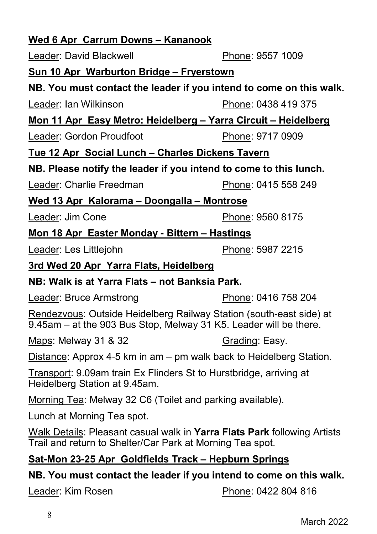# **Wed 6 Apr Carrum Downs – Kananook**

Leader: David Blackwell **Phone: 9557 1009** 

## **Sun 10 Apr Warburton Bridge – Fryerstown**

## **NB. You must contact the leader if you intend to come on this walk.**

Leader: Ian Wilkinson **Phone: 0438 419 375** 

**Mon 11 Apr Easy Metro: Heidelberg – Yarra Circuit – Heidelberg**

Leader: Gordon Proudfoot Phone: 9717 0909

## **Tue 12 Apr Social Lunch – Charles Dickens Tavern**

## **NB. Please notify the leader if you intend to come to this lunch.**

Leader: Charlie Freedman Phone: 0415 558 249

## **Wed 13 Apr Kalorama – Doongalla – Montrose**

Leader: Jim Cone **Phone: 9560 8175** 

## **Mon 18 Apr Easter Monday - Bittern – Hastings**

Leader: Les Littlejohn Phone: 5987 2215

**3rd Wed 20 Apr Yarra Flats, Heidelberg**

#### **NB: Walk is at Yarra Flats – not Banksia Park.**

Leader: Bruce Armstrong Phone: 0416 758 204

Rendezvous: Outside Heidelberg Railway Station (south-east side) at 9.45am – at the 903 Bus Stop, Melway 31 K5. Leader will be there.

Maps: Melway 31 & 32 Grading: Easy.

Distance: Approx 4-5 km in am – pm walk back to Heidelberg Station.

Transport: 9.09am train Ex Flinders St to Hurstbridge, arriving at Heidelberg Station at 9.45am.

Morning Tea: Melway 32 C6 (Toilet and parking available).

Lunch at Morning Tea spot.

Walk Details: Pleasant casual walk in **Yarra Flats Park** following Artists Trail and return to Shelter/Car Park at Morning Tea spot.

## **Sat-Mon 23-25 Apr Goldfields Track – Hepburn Springs**

## **NB. You must contact the leader if you intend to come on this walk.**

Leader: Kim Rosen **Phone: 0422 804 816**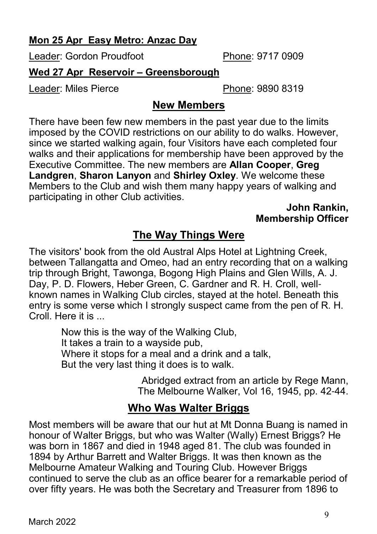#### **Mon 25 Apr Easy Metro: Anzac Day**

Leader: Gordon Proudfoot Phone: 9717 0909

#### **Wed 27 Apr Reservoir – Greensborough**

Leader: Miles Pierce **Phone: 9890 8319** 

### **New Members**

There have been few new members in the past year due to the limits imposed by the COVID restrictions on our ability to do walks. However, since we started walking again, four Visitors have each completed four walks and their applications for membership have been approved by the Executive Committee. The new members are **Allan Cooper**, **Greg Landgren**, **Sharon Lanyon** and **Shirley Oxley**. We welcome these Members to the Club and wish them many happy years of walking and participating in other Club activities.

**John Rankin, Membership Officer**

## **The Way Things Were**

The visitors' book from the old Austral Alps Hotel at Lightning Creek, between Tallangatta and Omeo, had an entry recording that on a walking trip through Bright, Tawonga, Bogong High Plains and Glen Wills, A. J. Day, P. D. Flowers, Heber Green, C. Gardner and R. H. Croll, wellknown names in Walking Club circles, stayed at the hotel. Beneath this entry is some verse which I strongly suspect came from the pen of R. H. Croll. Here it is ...

> Now this is the way of the Walking Club, It takes a train to a wayside pub, Where it stops for a meal and a drink and a talk, But the very last thing it does is to walk.

> > Abridged extract from an article by Rege Mann, The Melbourne Walker, Vol 16, 1945, pp. 42-44.

## **Who Was Walter Briggs**

Most members will be aware that our hut at Mt Donna Buang is named in honour of Walter Briggs, but who was Walter (Wally) Ernest Briggs? He was born in 1867 and died in 1948 aged 81. The club was founded in 1894 by Arthur Barrett and Walter Briggs. It was then known as the Melbourne Amateur Walking and Touring Club. However Briggs continued to serve the club as an office bearer for a remarkable period of over fifty years. He was both the Secretary and Treasurer from 1896 to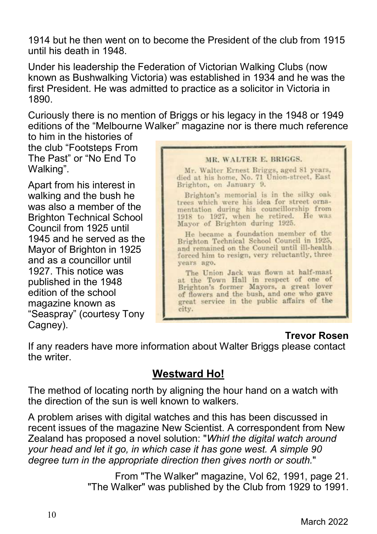1914 but he then went on to become the President of the club from 1915 until his death in 1948.

Under his leadership the Federation of Victorian Walking Clubs (now known as Bushwalking Victoria) was established in 1934 and he was the first President. He was admitted to practice as a solicitor in Victoria in 1890.

Curiously there is no mention of Briggs or his legacy in the 1948 or 1949 editions of the "Melbourne Walker" magazine nor is there much reference

to him in the histories of the club "Footsteps From The Past" or "No End To Walking".

Apart from his interest in walking and the bush he was also a member of the Brighton Technical School Council from 1925 until 1945 and he served as the Mayor of Brighton in 1925 and as a councillor until 1927. This notice was published in the 1948 edition of the school magazine known as "Seaspray" (courtesy Tony Cagney).



#### **Trevor Rosen**

If any readers have more information about Walter Briggs please contact the writer.

#### **Westward Ho!**

The method of locating north by aligning the hour hand on a watch with the direction of the sun is well known to walkers.

A problem arises with digital watches and this has been discussed in recent issues of the magazine New Scientist. A correspondent from New Zealand has proposed a novel solution: "*Whirl the digital watch around your head and let it go, in which case it has gone west. A simple 90 degree turn in the appropriate direction then gives north or south.*"

> From "The Walker" magazine, Vol 62, 1991, page 21. "The Walker" was published by the Club from 1929 to 1991.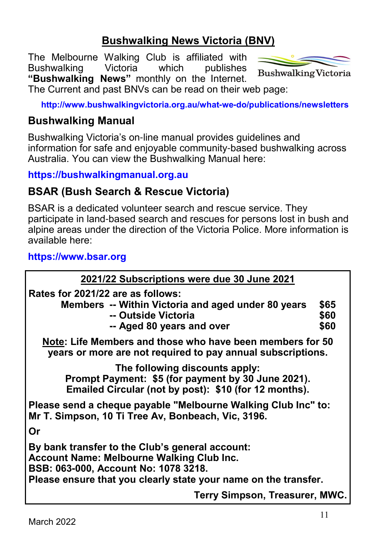## **Bushwalking News Victoria (BNV)**

The Melbourne Walking Club is affiliated with Bushwalking Victoria which publishes **"Bushwalking News"** monthly on the Internet.



**Bushwalking Victoria** 

The Current and past BNVs can be read on their web page:

**http://www.bushwalkingvictoria.org.au/what-we-do/publications/newsletters**

#### **Bushwalking Manual**

Bushwalking Victoria's on-line manual provides guidelines and information for safe and enjoyable community-based bushwalking across Australia. You can view the Bushwalking Manual here:

#### **https://bushwalkingmanual.org.au**

#### **BSAR (Bush Search & Rescue Victoria)**

BSAR is a dedicated volunteer search and rescue service. They participate in land-based search and rescues for persons lost in bush and alpine areas under the direction of the Victoria Police. More information is available here:

#### **https://www.bsar.org**

| 2021/22 Subscriptions were due 30 June 2021                                                                                                                                                                    |                      |
|----------------------------------------------------------------------------------------------------------------------------------------------------------------------------------------------------------------|----------------------|
| Rates for 2021/22 are as follows:<br>Members -- Within Victoria and aged under 80 years<br>-- Outside Victoria<br>-- Aged 80 years and over                                                                    | \$65<br>\$60<br>\$60 |
| Note: Life Members and those who have been members for 50<br>years or more are not required to pay annual subscriptions.                                                                                       |                      |
| The following discounts apply:<br>Prompt Payment: \$5 (for payment by 30 June 2021).<br>Emailed Circular (not by post): \$10 (for 12 months).                                                                  |                      |
| Please send a cheque payable "Melbourne Walking Club Inc" to:<br>Mr T. Simpson, 10 Ti Tree Av, Bonbeach, Vic, 3196.                                                                                            |                      |
| Or                                                                                                                                                                                                             |                      |
| By bank transfer to the Club's general account:<br><b>Account Name: Melbourne Walking Club Inc.</b><br>BSB: 063-000, Account No: 1078 3218.<br>Please ensure that you clearly state your name on the transfer. |                      |
| Terry Simpson, Treasurer, MWC.                                                                                                                                                                                 |                      |